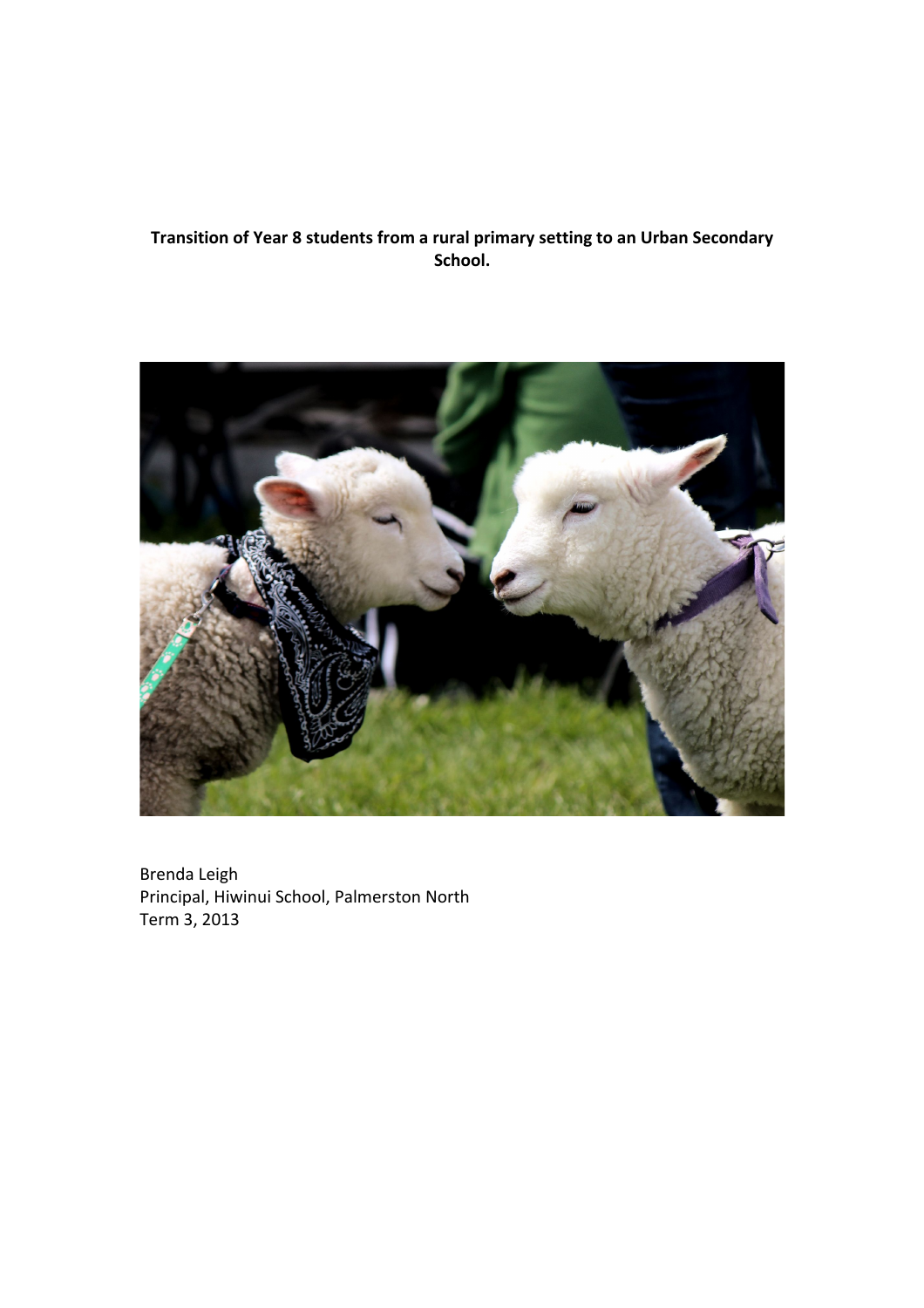# Transition of Year 8 students from a rural primary setting to an Urban Secondary **School.**



Brenda Leigh Principal, Hiwinui School, Palmerston North Term 3, 2013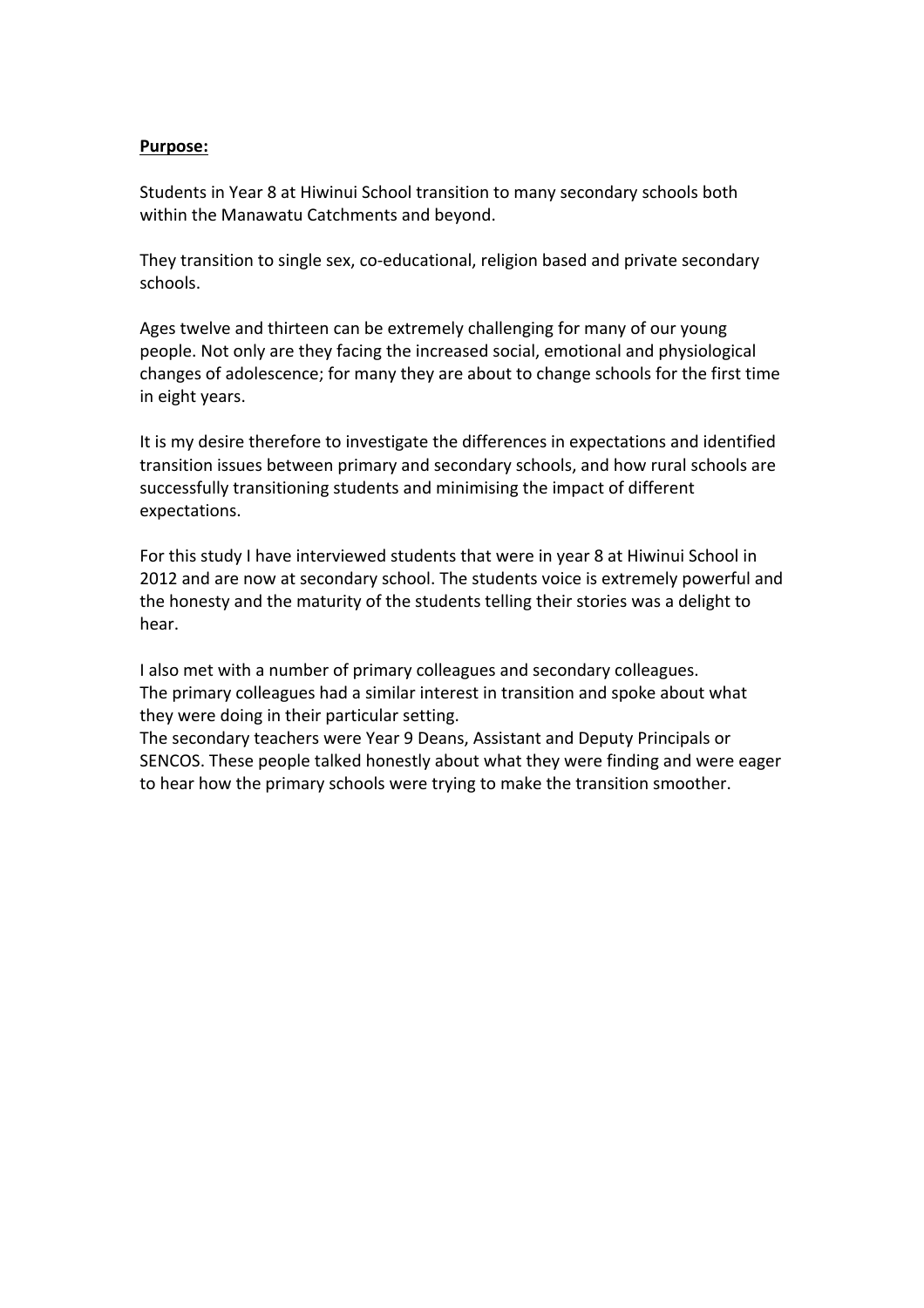#### **Purpose:**

Students in Year 8 at Hiwinui School transition to many secondary schools both within the Manawatu Catchments and beyond.

They transition to single sex, co-educational, religion based and private secondary schools.

Ages twelve and thirteen can be extremely challenging for many of our young people. Not only are they facing the increased social, emotional and physiological changes of adolescence; for many they are about to change schools for the first time in eight years.

It is my desire therefore to investigate the differences in expectations and identified transition issues between primary and secondary schools, and how rural schools are successfully transitioning students and minimising the impact of different expectations.

For this study I have interviewed students that were in year 8 at Hiwinui School in 2012 and are now at secondary school. The students voice is extremely powerful and the honesty and the maturity of the students telling their stories was a delight to hear.

I also met with a number of primary colleagues and secondary colleagues. The primary colleagues had a similar interest in transition and spoke about what they were doing in their particular setting.

The secondary teachers were Year 9 Deans, Assistant and Deputy Principals or SENCOS. These people talked honestly about what they were finding and were eager to hear how the primary schools were trying to make the transition smoother.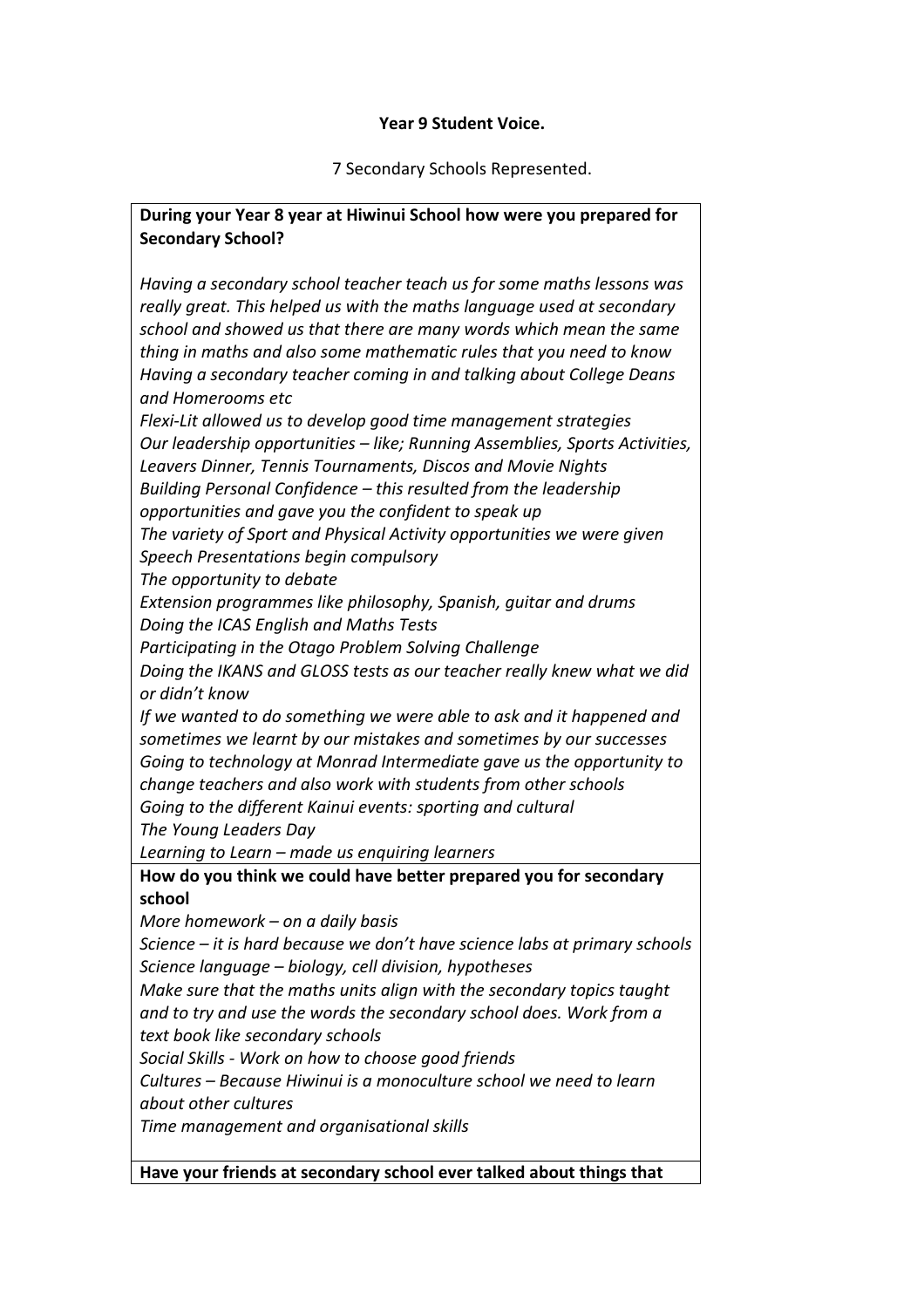#### Year 9 Student Voice.

7 Secondary Schools Represented.

#### **During your Year 8 year at Hiwinui School how were you prepared for Secondary School?**

*Having'a'secondary'school'teacher'teach'us'for'some'maths'lessons'was' really'great.'This'helped'us'with'the'maths'language'used'at'secondary' school'and'showed'us'that'there'are'many'words'which'mean'the'same' thing'in'maths'and'also'some'mathematic'rules'that'you'need'to'know Having'a'secondary'teacher'coming'in'and'talking'about'College'Deans' and'Homerooms'etc*

*Flexi?Lit'allowed'us'to'develop'good'time'management'strategies Our leadership opportunities – like; Running Assemblies, Sports Activities,* Leavers Dinner, Tennis Tournaments, Discos and Movie Nights *Building'Personal'Confidence'– this'resulted'from'the'leadership' opportunities'and'gave'you'the'confident'to'speak'up*

*The'variety'of'Sport'and'Physical'Activity'opportunities'we'were'given Speech'Presentations'begin'compulsory*

*The'opportunity'to'debate*

Extension programmes like philosophy, Spanish, quitar and drums *Doing'the'ICAS'English'and'Maths'Tests*

Participating in the Otago Problem Solving Challenge

*Doing'the'IKANS'and'GLOSS'tests'as'our'teacher'really'knew'what'we'did' or'didn't'know*

If we wanted to do something we were able to ask and it happened and *sometimes'we'learnt'by'our'mistakes'and'sometimes'by'our'successes Going'to'technology'at'Monrad'Intermediate'gave'us'the'opportunity'to' change'teachers'and'also'work'with'students'from'other'schools* Going to the different Kainui events: sporting and cultural

*The'Young'Leaders'Day'*

*Learning'to'Learn'– made'us'enquiring'learners*

How do you think we could have better prepared you for secondary **school**

*More'homework – on'a'daily'basis*

*Science'– it'is'hard'because'we'don't'have'science'labs'at'primary'schools Science'language'– biology,'cell'division,'hypotheses*

*Make sure that the maths units align with the secondary topics taught and'to'try'and'use'the'words'the'secondary'school'does.'Work'from'a' text'book'like'secondary'schools*

*Social'Skills'? Work'on'how'to'choose'good'friends*

*Cultures'– Because'Hiwinui'is'a'monoculture'school'we'need'to'learn' about'other'cultures*

*Time'management'and'organisational'skills*

Have your friends at secondary school ever talked about things that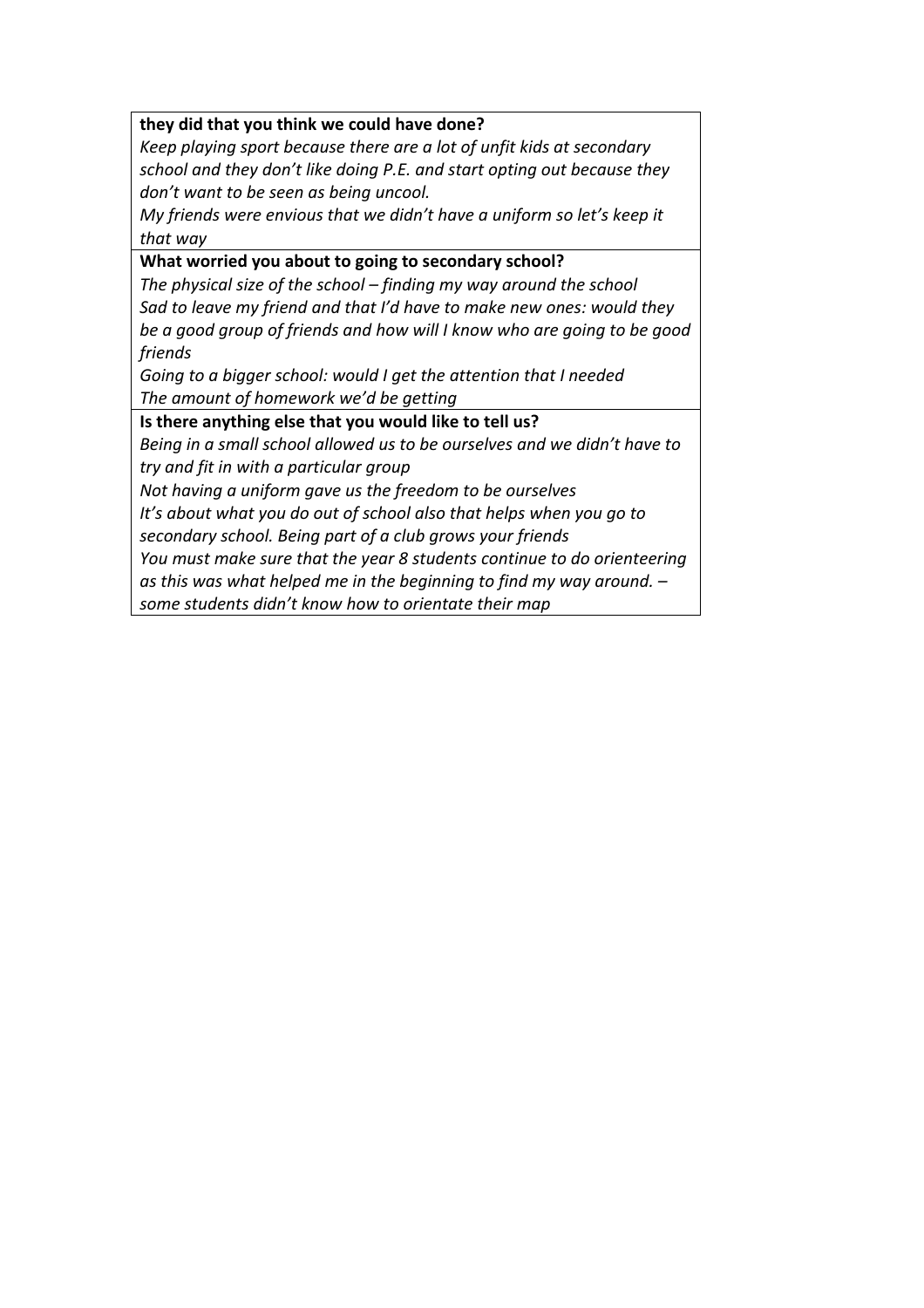#### they did that you think we could have done?

*Keep'playing'sport'because'there'are'a'lot'of'unfit'kids'at'secondary' school'and'they'don't like'doing'P.E.'and'start'opting'out'because'they'* don't want to be seen as being uncool.

*My'friends'were'envious'that'we'didn't'have'a'uniform'so'let's keep'it' that'way*

#### What worried you about to going to secondary school?

*The'physical'size'of'the'school – finding'my'way'around'the'school Sad'to'leave'my'friend'and'that'I'd'have'to'make'new'ones:'would'they' be'a'good'group'of'friends'and'how'will'I'know'who'are'going'to'be'good' friends*

*Going to a bigger school: would I get the attention that I needed* The amount of homework we'd be getting

Is there anything else that you would like to tell us?

*Being'in'a'small'school'allowed'us'to'be'ourselves'and'we'didn't'have'to' try'and'fit'in'with'a'particular'group*

*Not'having'a'uniform'gave'us'the'freedom'to'be'ourselves*

It's about what you do out of school also that helps when you go to *secondary'school.'Being'part'of'a'club'grows'your'friends*

You must make sure that the year 8 students continue to do orienteering

*as'this'was'what'helped'me'in'the'beginning'to'find'my way'around.'–*

some students didn't know how to orientate their map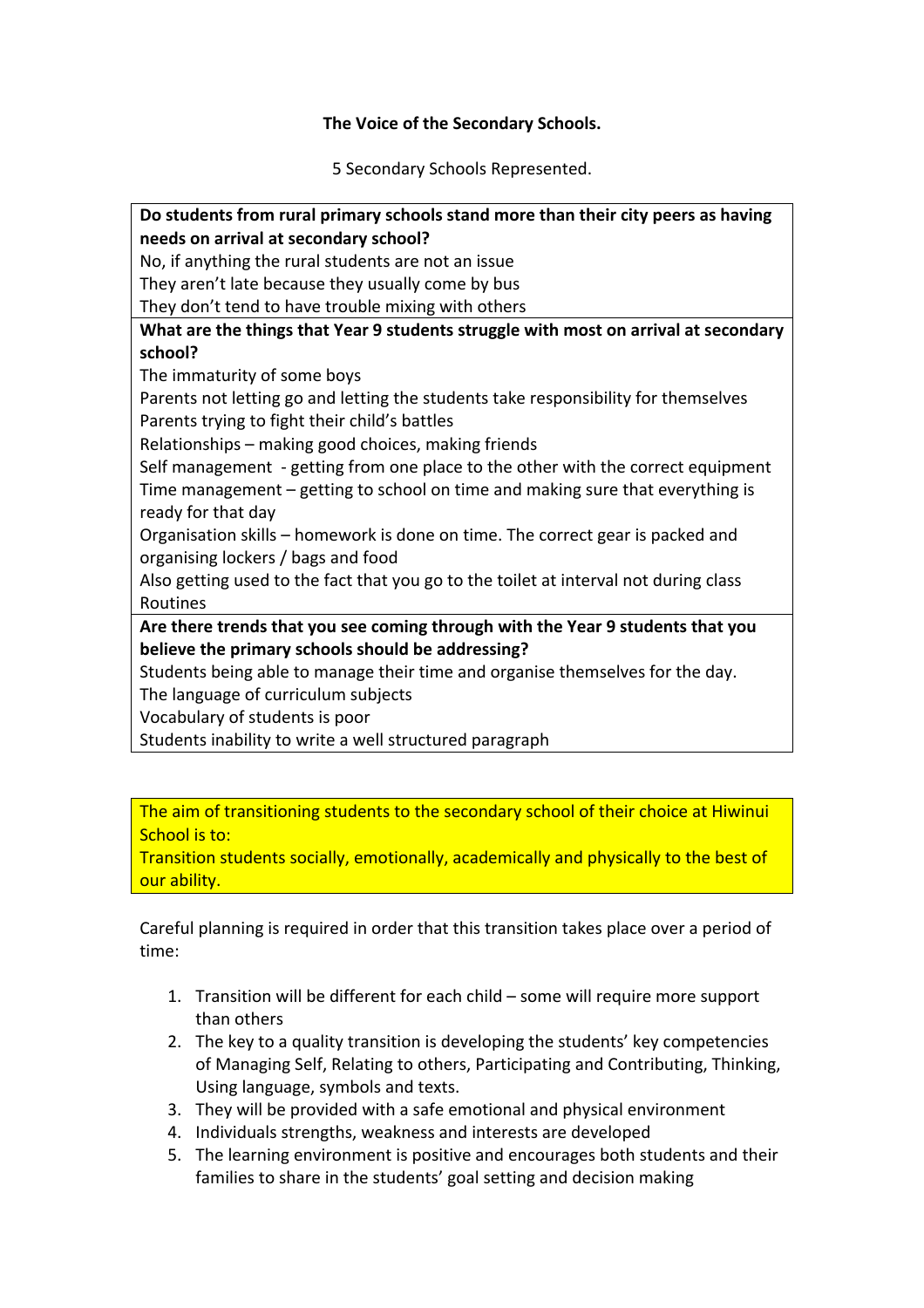#### The Voice of the Secondary Schools.

5 Secondary Schools Represented.

Do students from rural primary schools stand more than their city peers as having **needs on arrival at secondary school?** No, if anything the rural students are not an issue They aren't late because they usually come by bus They don't tend to have trouble mixing with others What are the things that Year 9 students struggle with most on arrival at secondary **school?** The immaturity of some boys Parents not letting go and letting the students take responsibility for themselves Parents trying to fight their child's battles Relationships – making good choices, making friends Self management - getting from one place to the other with the correct equipment Time management – getting to school on time and making sure that everything is ready for that day Organisation skills – homework is done on time. The correct gear is packed and organising lockers / bags and food Also getting used to the fact that you go to the toilet at interval not during class Routines Are there trends that you see coming through with the Year 9 students that you **believe the primary schools should be addressing?** Students being able to manage their time and organise themselves for the day. The language of curriculum subjects Vocabulary of students is poor Students inability to write a well structured paragraph

The aim of transitioning students to the secondary school of their choice at Hiwinui School is to:

Transition students socially, emotionally, academically and physically to the best of our ability.

Careful planning is required in order that this transition takes place over a period of time:

- 1. Transition will be different for each child some will require more support than others
- 2. The key to a quality transition is developing the students' key competencies of Managing Self, Relating to others, Participating and Contributing, Thinking, Using language, symbols and texts.
- 3. They will be provided with a safe emotional and physical environment
- 4. Individuals strengths, weakness and interests are developed
- 5. The learning environment is positive and encourages both students and their families to share in the students' goal setting and decision making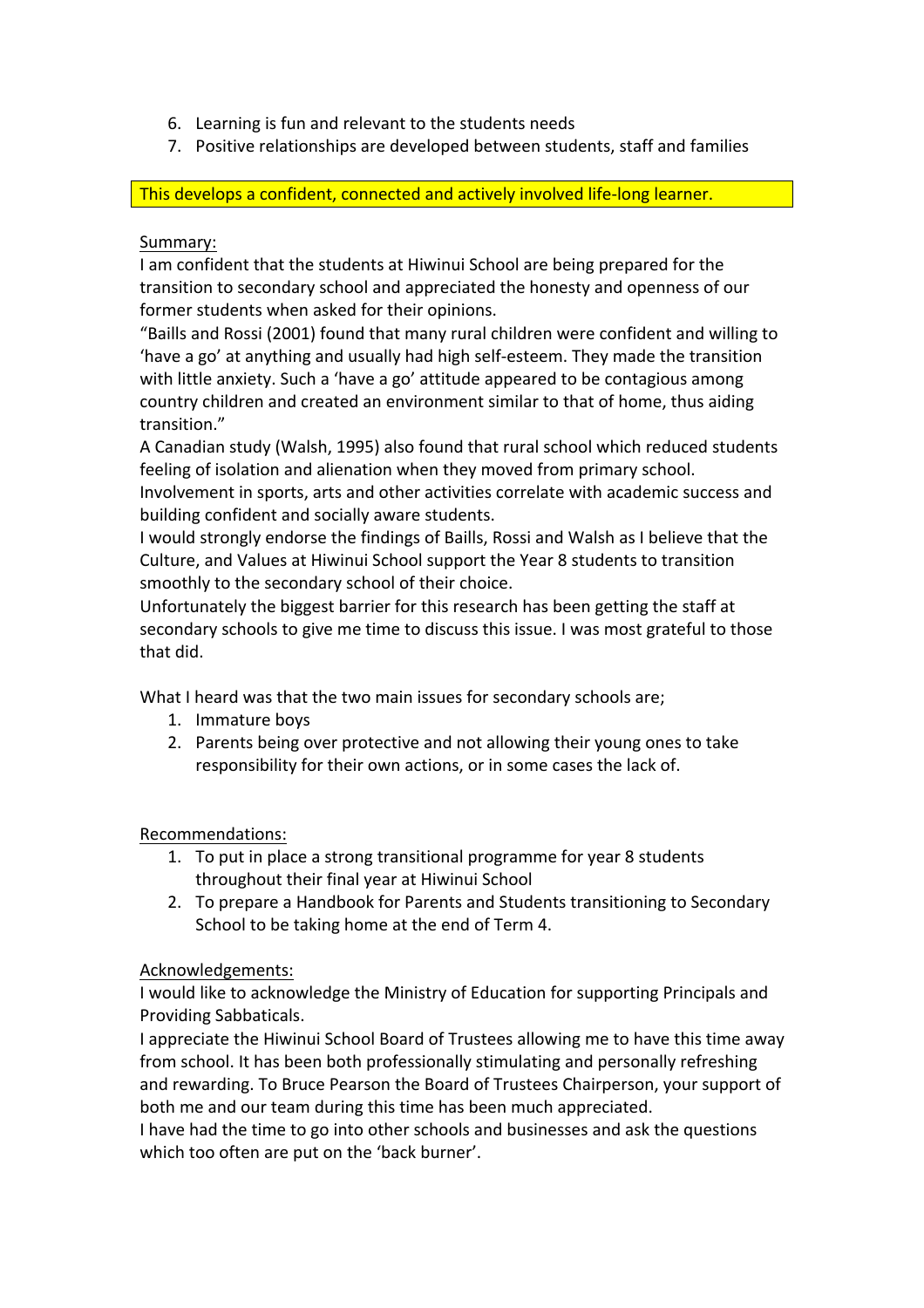- 6. Learning is fun and relevant to the students needs
- 7. Positive relationships are developed between students, staff and families

This develops a confident, connected and actively involved life-long learner.

#### Summary:

I am confident that the students at Hiwinui School are being prepared for the transition to secondary school and appreciated the honesty and openness of our former students when asked for their opinions.

"Baills and Rossi (2001) found that many rural children were confident and willing to 'have a go' at anything and usually had high self-esteem. They made the transition with little anxiety. Such a 'have a go' attitude appeared to be contagious among country children and created an environment similar to that of home, thus aiding transition."

A Canadian study (Walsh, 1995) also found that rural school which reduced students feeling of isolation and alienation when they moved from primary school.

Involvement in sports, arts and other activities correlate with academic success and building confident and socially aware students.

I would strongly endorse the findings of Baills, Rossi and Walsh as I believe that the Culture, and Values at Hiwinui School support the Year 8 students to transition smoothly to the secondary school of their choice.

Unfortunately the biggest barrier for this research has been getting the staff at secondary schools to give me time to discuss this issue. I was most grateful to those that did.

What I heard was that the two main issues for secondary schools are;

- 1. Immature boys
- 2. Parents being over protective and not allowing their young ones to take responsibility for their own actions, or in some cases the lack of.

Recommendations:

- 1. To put in place a strong transitional programme for year 8 students throughout their final year at Hiwinui School
- 2. To prepare a Handbook for Parents and Students transitioning to Secondary School to be taking home at the end of Term 4.

# Acknowledgements:

I would like to acknowledge the Ministry of Education for supporting Principals and Providing Sabbaticals.

I appreciate the Hiwinui School Board of Trustees allowing me to have this time away from school. It has been both professionally stimulating and personally refreshing and rewarding. To Bruce Pearson the Board of Trustees Chairperson, your support of both me and our team during this time has been much appreciated.

I have had the time to go into other schools and businesses and ask the questions which too often are put on the 'back burner'.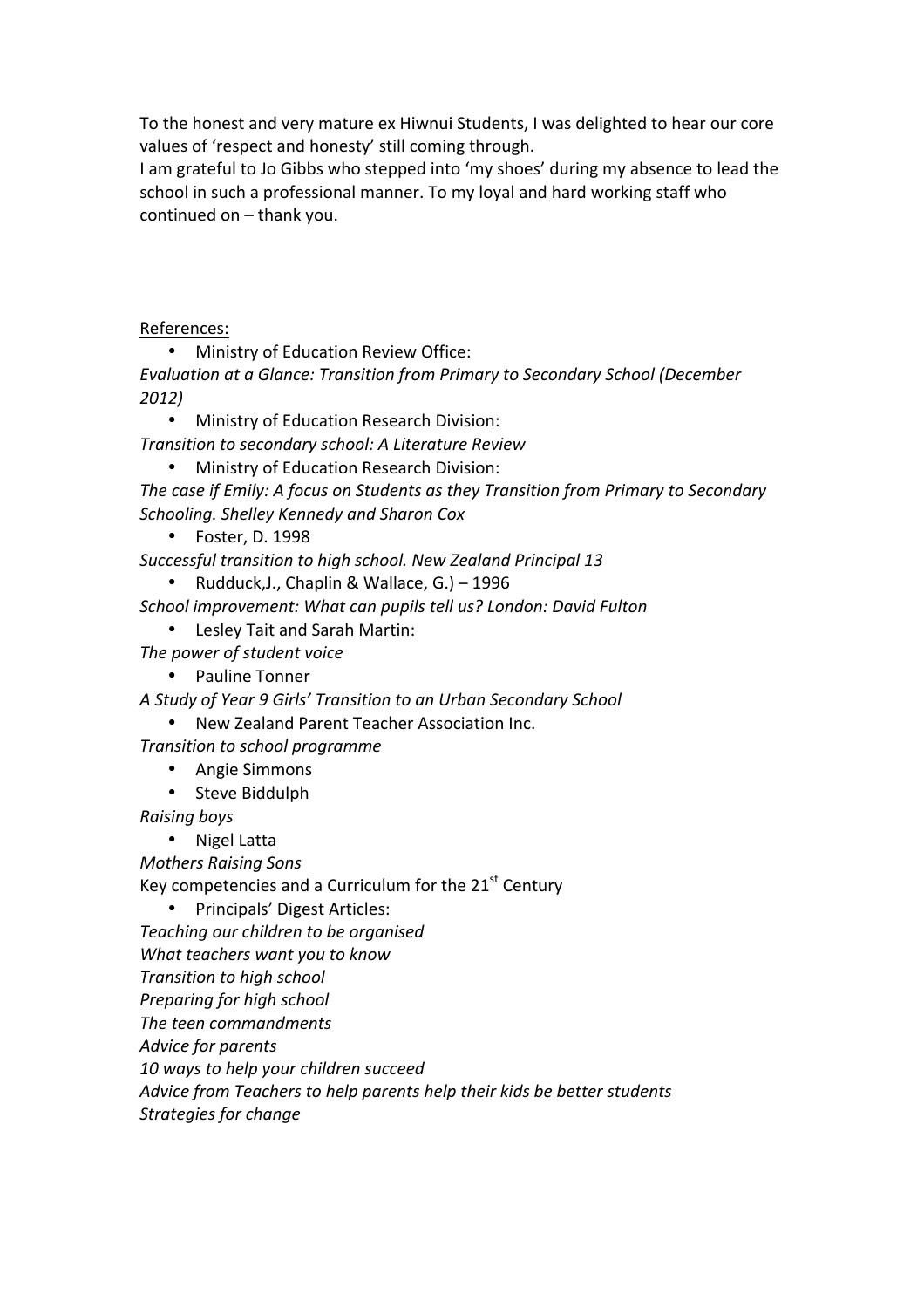To the honest and very mature ex Hiwnui Students, I was delighted to hear our core values of 'respect and honesty' still coming through.

I am grateful to Jo Gibbs who stepped into 'my shoes' during my absence to lead the school in such a professional manner. To my loyal and hard working staff who continued on  $-$  thank you.

References:

• Ministry of Education Review Office:

*Evaluation at a Glance: Transition from Primary to Secondary School (December*) *2012)*

• Ministry of Education Research Division:

*Transition'to'secondary'school:'A'Literature'Review*

Ministry of Education Research Division:

The case if Emily: A focus on Students as they Transition from Primary to Secondary *Schooling.'Shelley'Kennedy'and'Sharon'Cox*

• Foster, D. 1998

Successful transition to high school. New Zealand Principal 13

Rudduck, J., Chaplin & Wallace, G.) – 1996

*School'improvement:'What'can'pupils'tell'us?'London:'David'Fulton*

- Lesley Tait and Sarah Martin:
- The power of student voice

• Pauline Tonner

*A'Study'of'Year'9'Girls''Transition'to'an'Urban'Secondary'School*

New Zealand Parent Teacher Association Inc.

*Transition'to'school'programme*

- Angie Simmons
- Steve Biddulph

*Raising'boys*

• Nigel Latta

*Mothers'Raising'Sons*

Key competencies and a Curriculum for the  $21<sup>st</sup>$  Century

• Principals' Digest Articles:

*Teaching'our'children'to'be'organised*

*What'teachers'want'you'to'know*

**Transition to high school** 

*Preparing'for'high'school*

*The'teen'commandments*

*Advice'for'parents*

*10'ways'to'help'your'children'succeed*

*Advice from'Teachers'to'help'parents'help'their'kids'be'better'students*

Strategies for change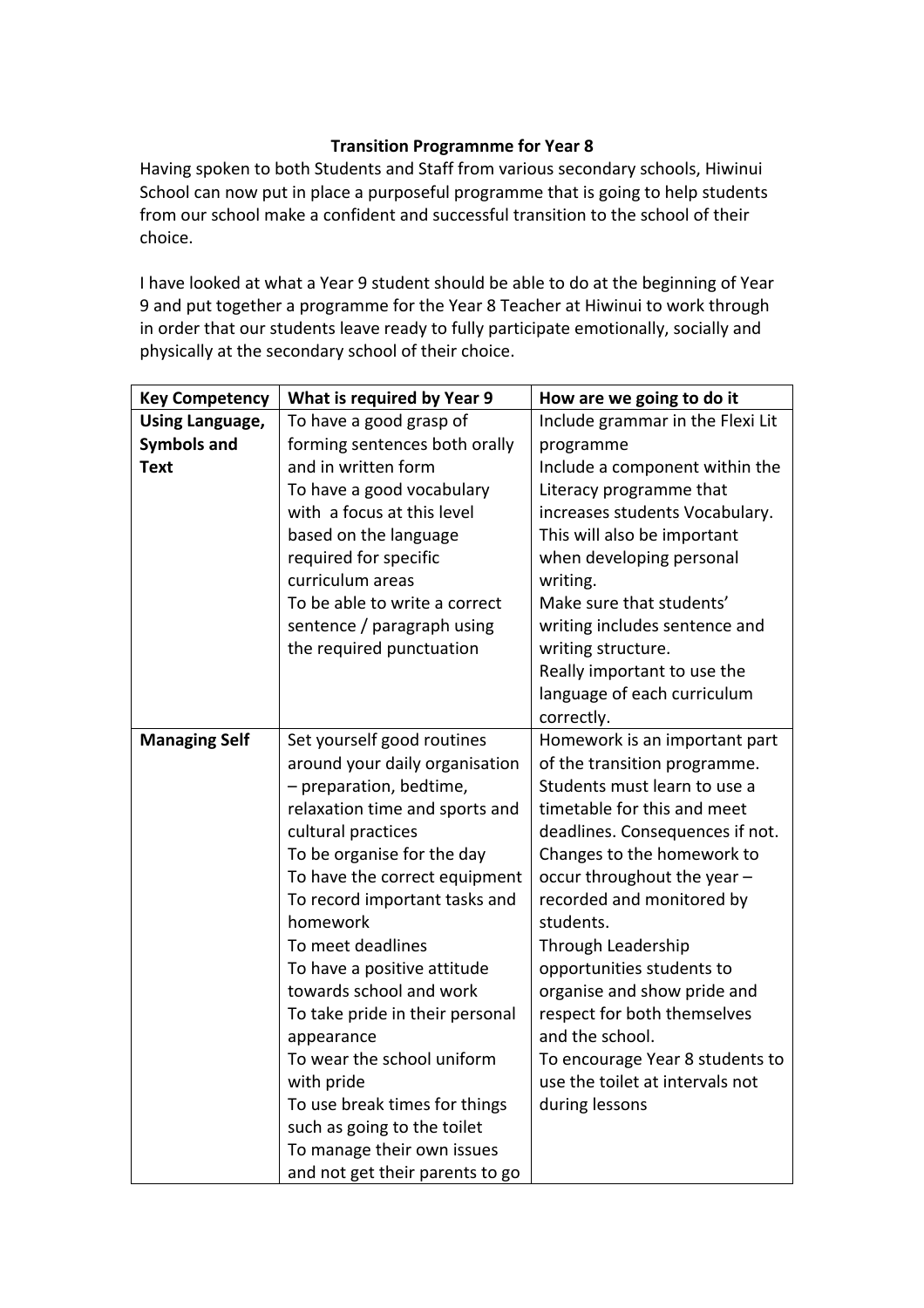#### **Transition Programnme for Year 8**

Having spoken to both Students and Staff from various secondary schools, Hiwinui School can now put in place a purposeful programme that is going to help students from our school make a confident and successful transition to the school of their choice.

I have looked at what a Year 9 student should be able to do at the beginning of Year 9 and put together a programme for the Year 8 Teacher at Hiwinui to work through in order that our students leave ready to fully participate emotionally, socially and physically at the secondary school of their choice.

| <b>Key Competency</b>  | What is required by Year 9      | How are we going to do it        |
|------------------------|---------------------------------|----------------------------------|
| <b>Using Language,</b> | To have a good grasp of         | Include grammar in the Flexi Lit |
| <b>Symbols and</b>     | forming sentences both orally   | programme                        |
| <b>Text</b>            | and in written form             | Include a component within the   |
|                        | To have a good vocabulary       | Literacy programme that          |
|                        | with a focus at this level      | increases students Vocabulary.   |
|                        | based on the language           | This will also be important      |
|                        | required for specific           | when developing personal         |
|                        | curriculum areas                | writing.                         |
|                        | To be able to write a correct   | Make sure that students'         |
|                        | sentence / paragraph using      | writing includes sentence and    |
|                        | the required punctuation        | writing structure.               |
|                        |                                 | Really important to use the      |
|                        |                                 | language of each curriculum      |
|                        |                                 | correctly.                       |
| <b>Managing Self</b>   | Set yourself good routines      | Homework is an important part    |
|                        | around your daily organisation  | of the transition programme.     |
|                        | - preparation, bedtime,         | Students must learn to use a     |
|                        | relaxation time and sports and  | timetable for this and meet      |
|                        | cultural practices              | deadlines. Consequences if not.  |
|                        | To be organise for the day      | Changes to the homework to       |
|                        | To have the correct equipment   | occur throughout the year -      |
|                        | To record important tasks and   | recorded and monitored by        |
|                        | homework                        | students.                        |
|                        | To meet deadlines               | Through Leadership               |
|                        | To have a positive attitude     | opportunities students to        |
|                        | towards school and work         | organise and show pride and      |
|                        | To take pride in their personal | respect for both themselves      |
|                        | appearance                      | and the school.                  |
|                        | To wear the school uniform      | To encourage Year 8 students to  |
|                        | with pride                      | use the toilet at intervals not  |
|                        | To use break times for things   | during lessons                   |
|                        | such as going to the toilet     |                                  |
|                        | To manage their own issues      |                                  |
|                        | and not get their parents to go |                                  |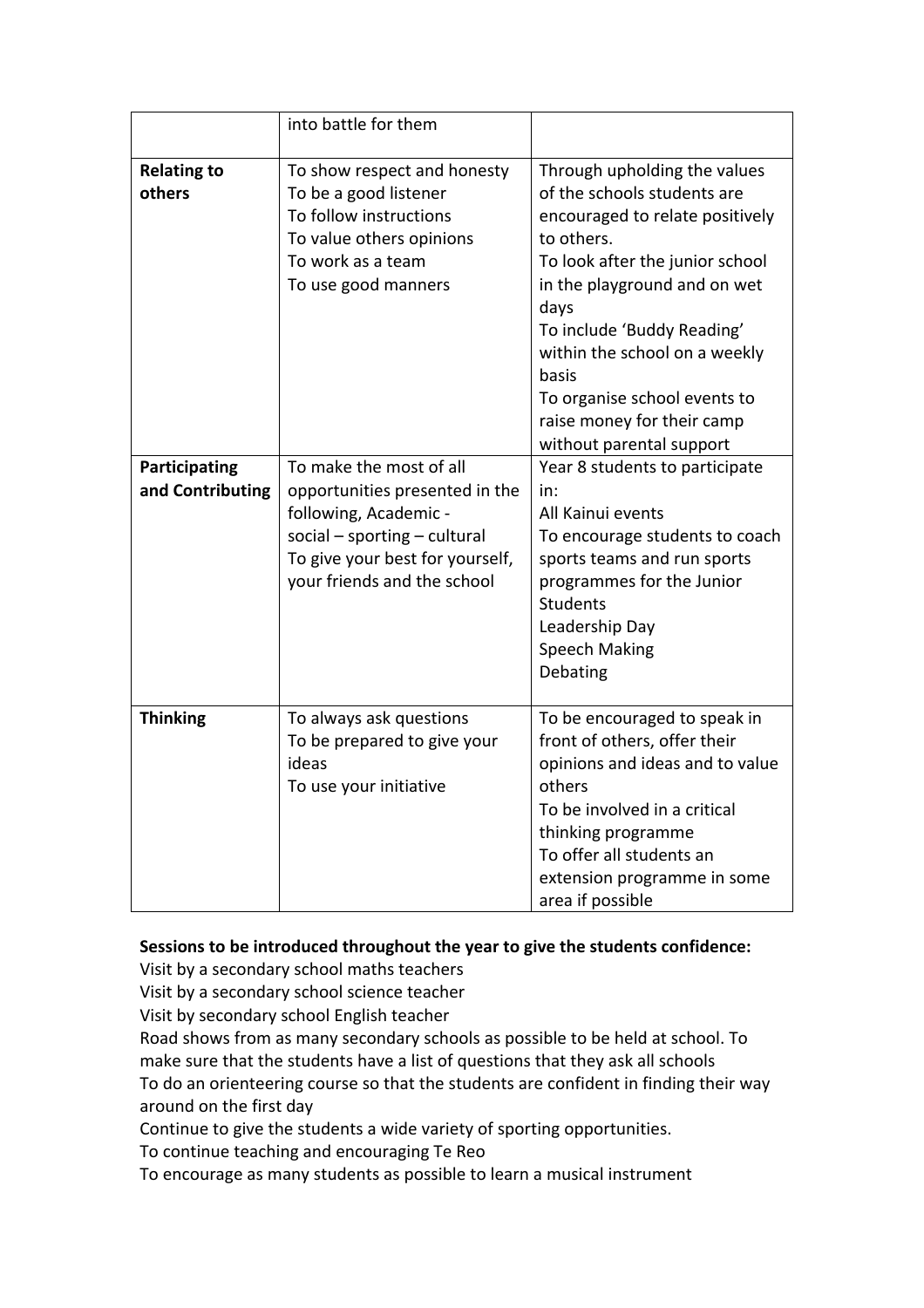|                                   | into battle for them                                                                                                                                                                   |                                                                                                                                                                                                                                                                                                                                                           |
|-----------------------------------|----------------------------------------------------------------------------------------------------------------------------------------------------------------------------------------|-----------------------------------------------------------------------------------------------------------------------------------------------------------------------------------------------------------------------------------------------------------------------------------------------------------------------------------------------------------|
| <b>Relating to</b><br>others      | To show respect and honesty<br>To be a good listener<br>To follow instructions<br>To value others opinions<br>To work as a team<br>To use good manners                                 | Through upholding the values<br>of the schools students are<br>encouraged to relate positively<br>to others.<br>To look after the junior school<br>in the playground and on wet<br>days<br>To include 'Buddy Reading'<br>within the school on a weekly<br>basis<br>To organise school events to<br>raise money for their camp<br>without parental support |
| Participating<br>and Contributing | To make the most of all<br>opportunities presented in the<br>following, Academic -<br>$social$ – sporting – cultural<br>To give your best for yourself,<br>your friends and the school | Year 8 students to participate<br>in:<br>All Kainui events<br>To encourage students to coach<br>sports teams and run sports<br>programmes for the Junior<br><b>Students</b><br>Leadership Day<br><b>Speech Making</b><br>Debating                                                                                                                         |
| <b>Thinking</b>                   | To always ask questions<br>To be prepared to give your<br>ideas<br>To use your initiative                                                                                              | To be encouraged to speak in<br>front of others, offer their<br>opinions and ideas and to value<br>others<br>To be involved in a critical<br>thinking programme<br>To offer all students an<br>extension programme in some<br>area if possible                                                                                                            |

#### Sessions to be introduced throughout the year to give the students confidence:

Visit by a secondary school maths teachers

Visit by a secondary school science teacher

Visit by secondary school English teacher

Road shows from as many secondary schools as possible to be held at school. To make sure that the students have a list of questions that they ask all schools To do an orienteering course so that the students are confident in finding their way around on the first day

Continue to give the students a wide variety of sporting opportunities.

To continue teaching and encouraging Te Reo

To encourage as many students as possible to learn a musical instrument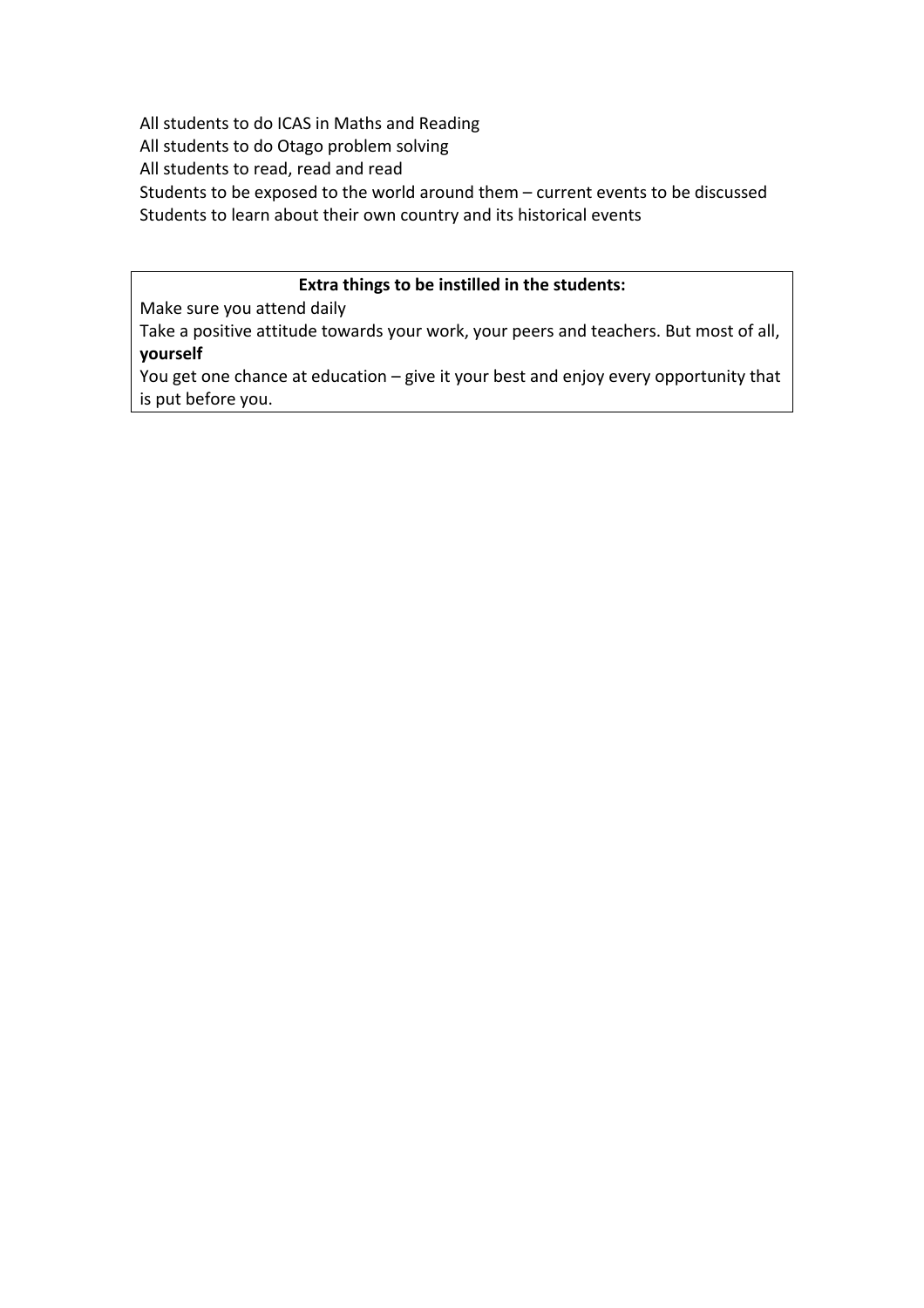All students to do ICAS in Maths and Reading All students to do Otago problem solving All students to read, read and read Students to be exposed to the world around them – current events to be discussed Students to learn about their own country and its historical events

#### **Extra things to be instilled in the students:**

Make sure you attend daily

Take a positive attitude towards your work, your peers and teachers. But most of all, **yourself**

You get one chance at education – give it your best and enjoy every opportunity that is put before you.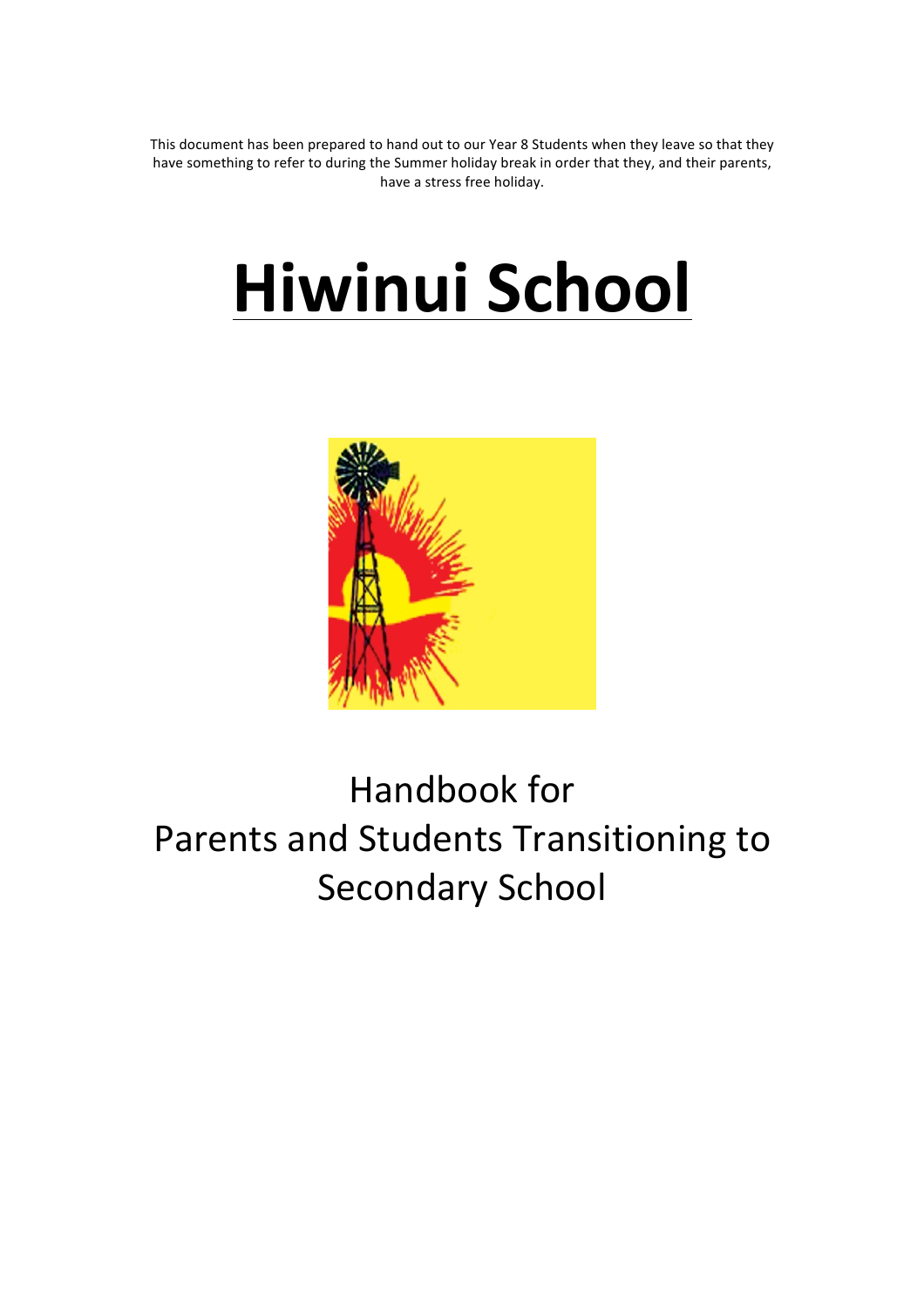This document has been prepared to hand out to our Year 8 Students when they leave so that they have something to refer to during the Summer holiday break in order that they, and their parents, have a stress free holiday.

# **Hiwinui!School!**



# Handbook for Parents and Students Transitioning to Secondary School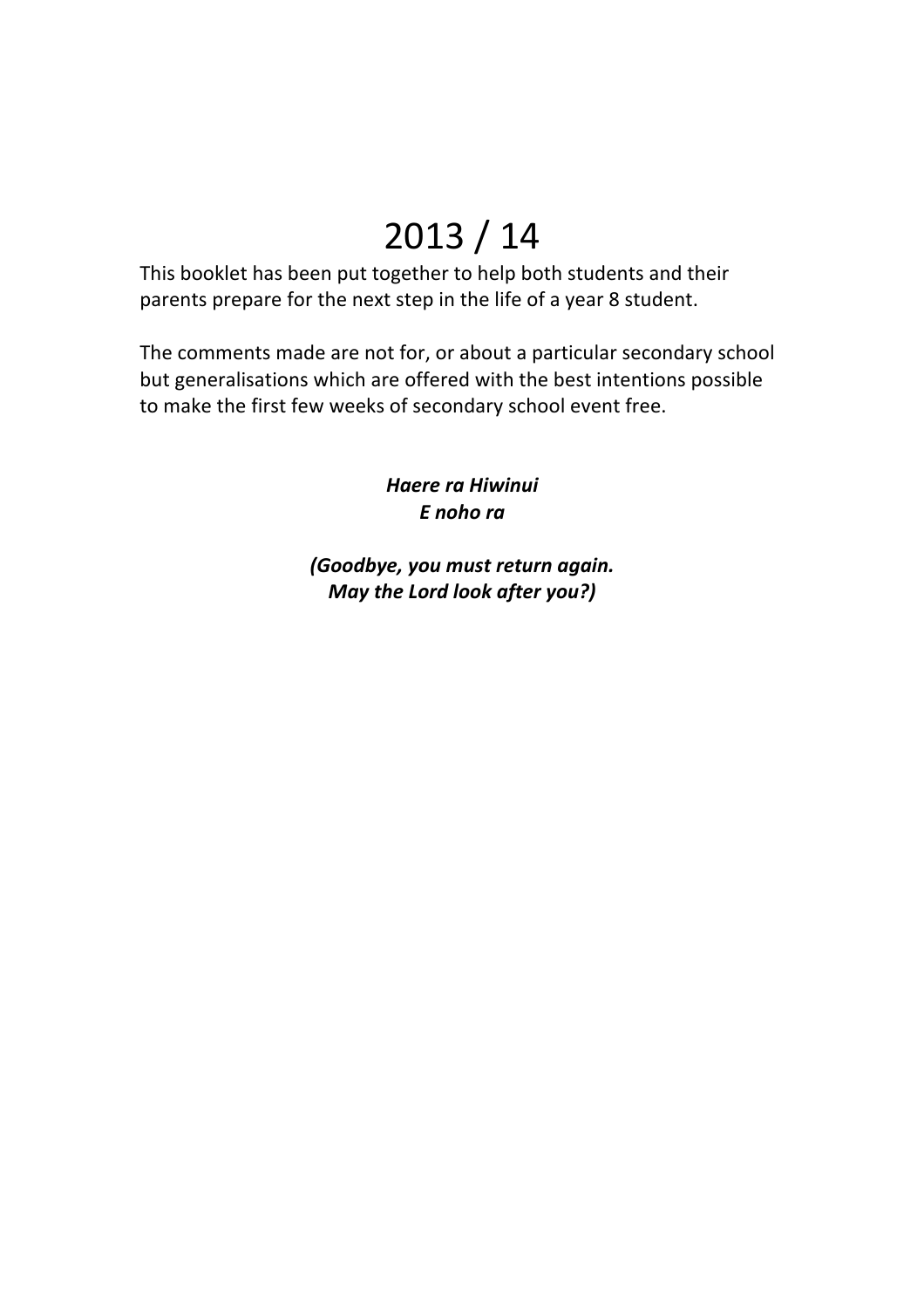# 2013 / 14

This booklet has been put together to help both students and their parents prepare for the next step in the life of a year 8 student.

The comments made are not for, or about a particular secondary school but generalisations which are offered with the best intentions possible to make the first few weeks of secondary school event free.

> *Haere%ra%Hiwinui E%noho%ra*

*(Goodbye, you must return again. May the Lord look after you?)*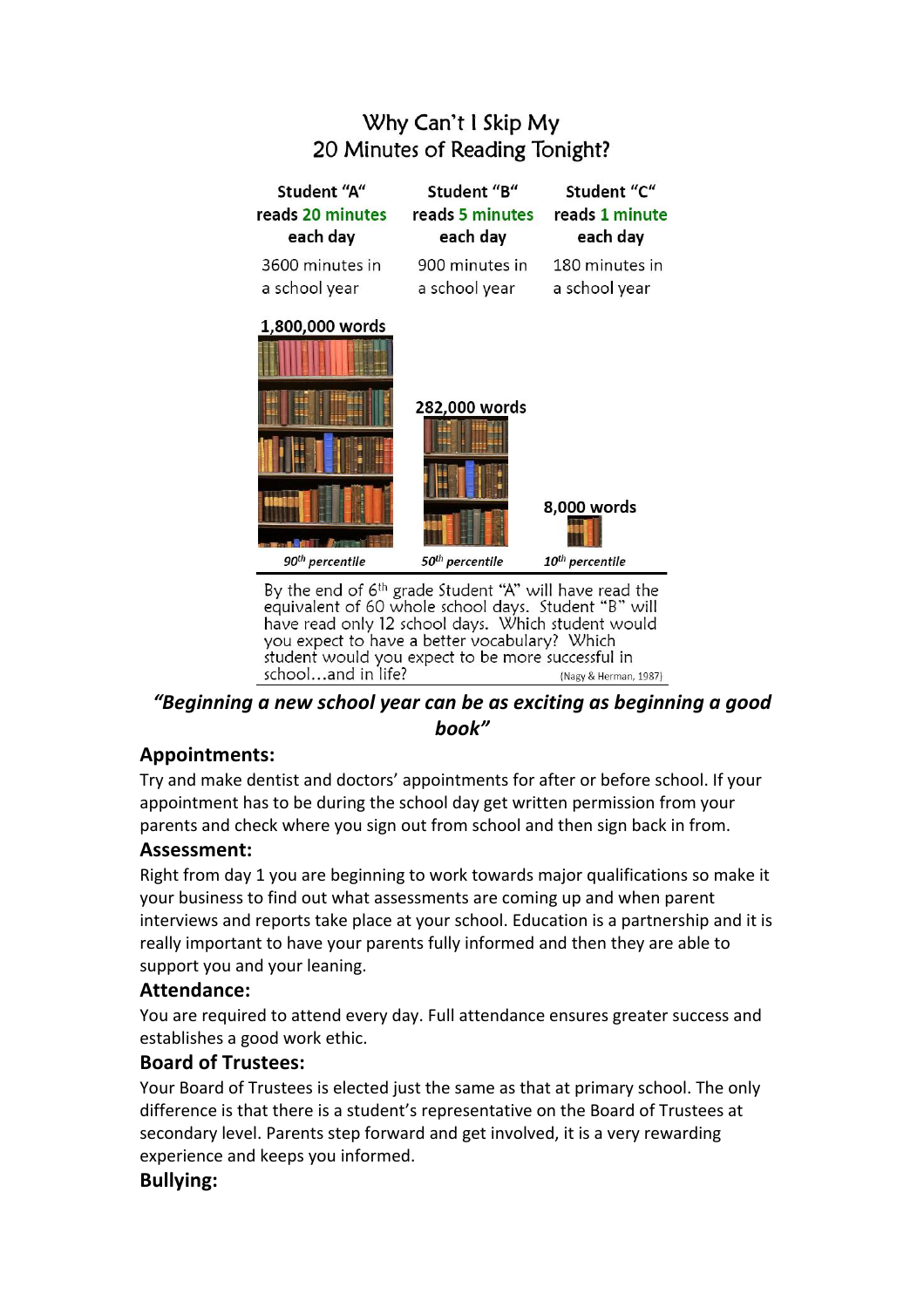# Why Can't I Skip My 20 Minutes of Reading Tonight?

| Student "A"<br>reads 20 minutes<br>each day                                                                                | Student "B"<br>reads 5 minutes<br>each day | Student "C"<br>reads 1 minute<br>each day |  |  |
|----------------------------------------------------------------------------------------------------------------------------|--------------------------------------------|-------------------------------------------|--|--|
| 3600 minutes in<br>a school year                                                                                           | 900 minutes in<br>a school year            | 180 minutes in<br>a school year           |  |  |
| 1,800,000 words                                                                                                            | 282,000 words                              | 8,000 words                               |  |  |
| 90 <sup>th</sup> percentile                                                                                                | 50 <sup>th</sup> percentile                | $10^{th}$ percentile                      |  |  |
| By the end of 6 <sup>th</sup> grade Student "A" will have read the<br>equivalent of 60 whole school days. Student "B" will |                                            |                                           |  |  |

have read only 12 school days. Which student would you expect to have a better vocabulary? Which student would you expect to be more successful in school...and in life? (Nagy & Herman, 1987)

# *"Beginning%a%new%school%year%can%be%as%exciting%as%beginning%a%good% book"*

# **Appointments:**

Try and make dentist and doctors' appointments for after or before school. If your appointment has to be during the school day get written permission from your parents and check where you sign out from school and then sign back in from.

# **Assessment:**

Right from day 1 you are beginning to work towards major qualifications so make it your business to find out what assessments are coming up and when parent interviews and reports take place at your school. Education is a partnership and it is really important to have your parents fully informed and then they are able to support you and your leaning.

# **Attendance:**

You are required to attend every day. Full attendance ensures greater success and establishes a good work ethic.

# **Board!of!Trustees:**

Your Board of Trustees is elected just the same as that at primary school. The only difference is that there is a student's representative on the Board of Trustees at secondary level. Parents step forward and get involved, it is a very rewarding experience and keeps you informed.

# **Bullying:**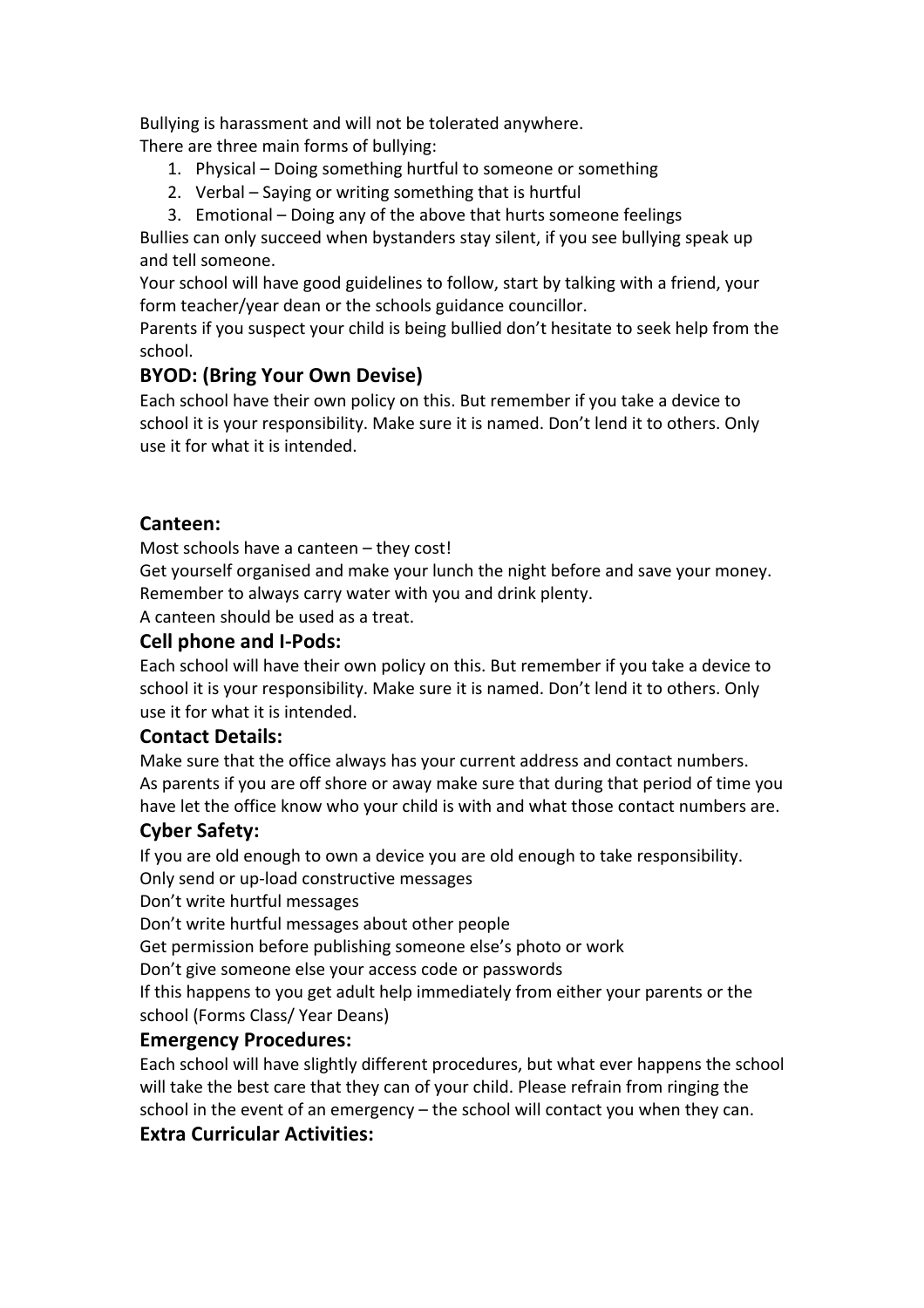Bullying is harassment and will not be tolerated anywhere.

There are three main forms of bullying:

- 1. Physical Doing something hurtful to someone or something
- 2. Verbal Saying or writing something that is hurtful
- 3. Emotional Doing any of the above that hurts someone feelings

Bullies can only succeed when bystanders stay silent, if you see bullying speak up and tell someone.

Your school will have good guidelines to follow, start by talking with a friend, your form teacher/year dean or the schools guidance councillor.

Parents if you suspect your child is being bullied don't hesitate to seek help from the school.

# **BYOD: (Bring Your Own Devise)**

Each school have their own policy on this. But remember if you take a device to school it is your responsibility. Make sure it is named. Don't lend it to others. Only use it for what it is intended

# **Canteen:**

Most schools have a canteen – they cost!

Get yourself organised and make your lunch the night before and save your money. Remember to always carry water with you and drink plenty.

A canteen should be used as a treat.

# **Cell phone and I-Pods:**

Each school will have their own policy on this. But remember if you take a device to school it is your responsibility. Make sure it is named. Don't lend it to others. Only use it for what it is intended.

# **Contact!Details:**

Make sure that the office always has your current address and contact numbers. As parents if you are off shore or away make sure that during that period of time you have let the office know who your child is with and what those contact numbers are.

# **Cyber Safety:**

If you are old enough to own a device you are old enough to take responsibility. Only send or up-load constructive messages

Don't write hurtful messages

Don't write hurtful messages about other people

Get permission before publishing someone else's photo or work

Don't give someone else your access code or passwords

If this happens to you get adult help immediately from either your parents or the school (Forms Class/ Year Deans)

# **Emergency Procedures:**

Each school will have slightly different procedures, but what ever happens the school will take the best care that they can of your child. Please refrain from ringing the school in the event of an emergency – the school will contact you when they can.

# **Extra Curricular Activities:**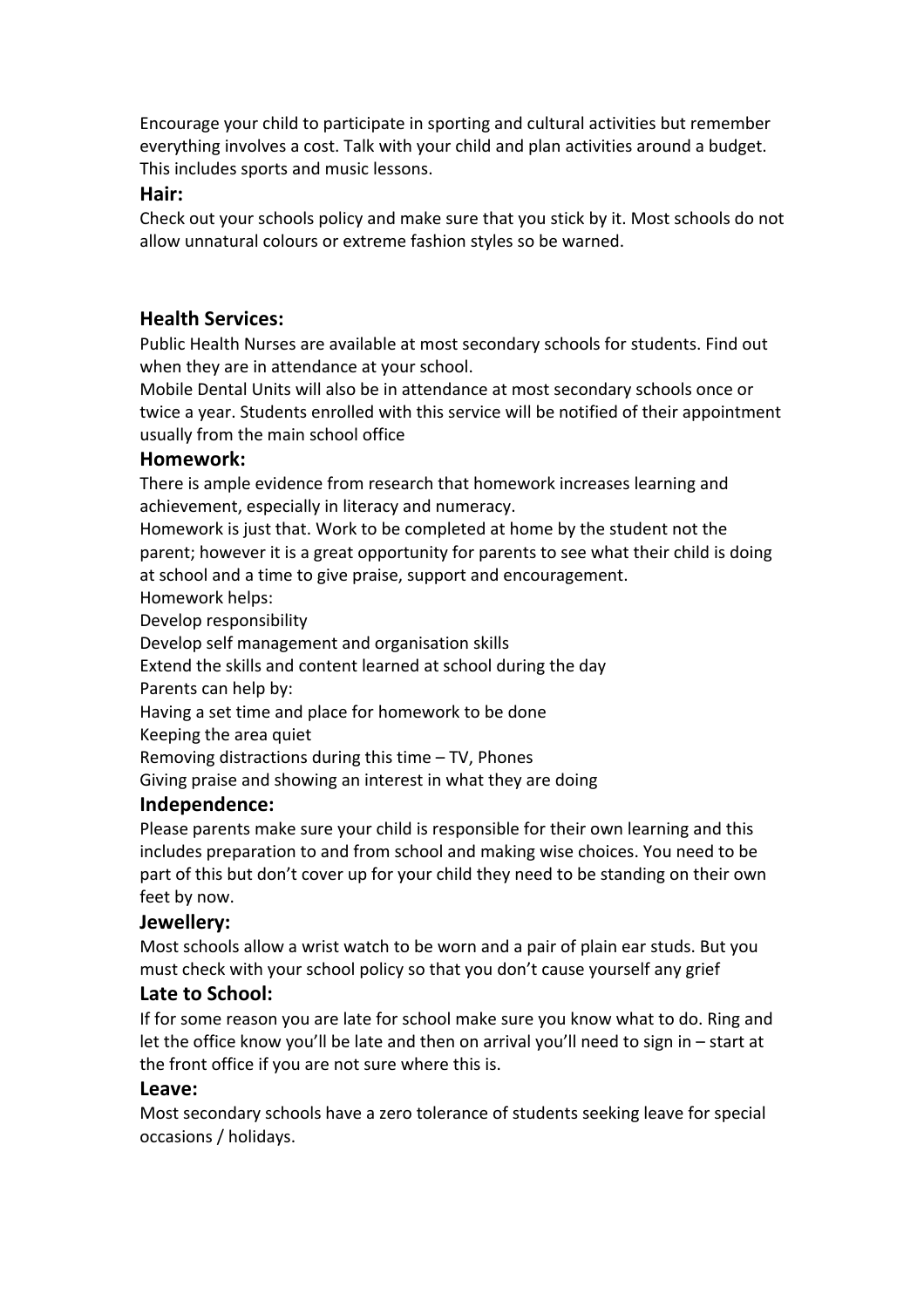Encourage your child to participate in sporting and cultural activities but remember everything involves a cost. Talk with your child and plan activities around a budget. This includes sports and music lessons.

#### **Hair:**

Check out your schools policy and make sure that you stick by it. Most schools do not allow unnatural colours or extreme fashion styles so be warned.

# **Health!Services:**

Public Health Nurses are available at most secondary schools for students. Find out when they are in attendance at your school.

Mobile Dental Units will also be in attendance at most secondary schools once or twice a year. Students enrolled with this service will be notified of their appointment usually from the main school office

#### **Homework:**

There is ample evidence from research that homework increases learning and achievement, especially in literacy and numeracy.

Homework is just that. Work to be completed at home by the student not the parent; however it is a great opportunity for parents to see what their child is doing at school and a time to give praise, support and encouragement.

Homework helps:

Develop responsibility

Develop self management and organisation skills

Extend the skills and content learned at school during the day

Parents can help by:

Having a set time and place for homework to be done

Keeping the area quiet

Removing distractions during this time – TV, Phones

Giving praise and showing an interest in what they are doing

#### **Independence:**

Please parents make sure your child is responsible for their own learning and this includes preparation to and from school and making wise choices. You need to be part of this but don't cover up for your child they need to be standing on their own feet by now.

#### **Jewellery:**

Most schools allow a wrist watch to be worn and a pair of plain ear studs. But you must check with your school policy so that you don't cause yourself any grief

#### **Late to School:**

If for some reason you are late for school make sure you know what to do. Ring and let the office know you'll be late and then on arrival you'll need to sign in – start at the front office if you are not sure where this is.

#### **Leave:**

Most secondary schools have a zero tolerance of students seeking leave for special occasions / holidays.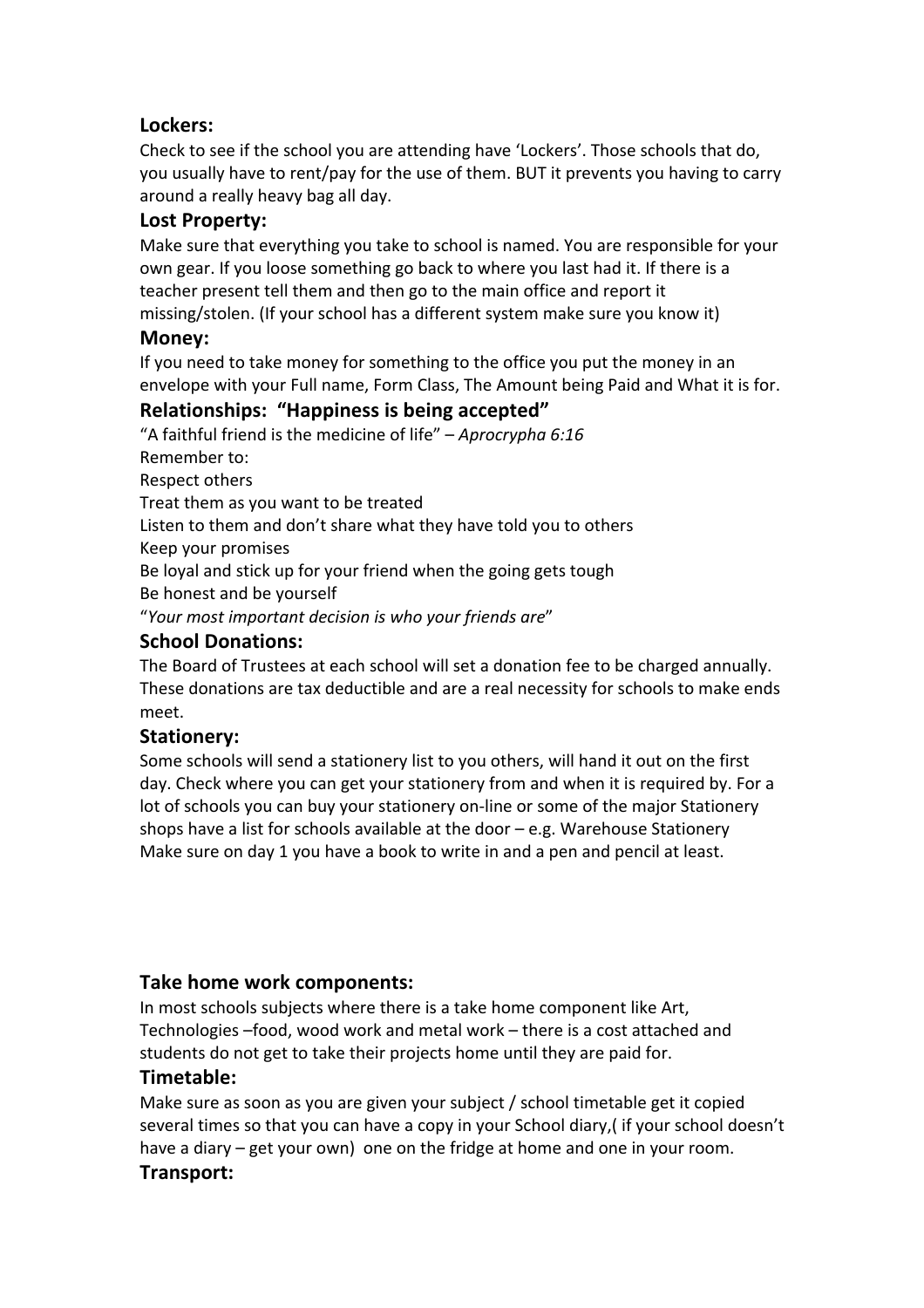# **Lockers:**

Check to see if the school you are attending have 'Lockers'. Those schools that do, you usually have to rent/pay for the use of them. BUT it prevents you having to carry around a really heavy bag all day.

# Lost Property:

Make sure that everything you take to school is named. You are responsible for your own gear. If you loose something go back to where you last had it. If there is a teacher present tell them and then go to the main office and report it missing/stolen. (If your school has a different system make sure you know it)

# **Money:**

If you need to take money for something to the office you put the money in an envelope with your Full name, Form Class, The Amount being Paid and What it is for.

# **Relationships: "Happiness is being accepted"**

"A faithful friend is the medicine of life" – *Aprocrypha 6:16* Remember to:

Respect others

Treat them as you want to be treated

Listen to them and don't share what they have told you to others

Keep your promises

Be loyal and stick up for your friend when the going gets tough

Be honest and be yourself

"Your most important decision is who your friends are"

# **School!Donations:**

The Board of Trustees at each school will set a donation fee to be charged annually. These donations are tax deductible and are a real necessity for schools to make ends meet.

# **Stationery:**

Some schools will send a stationery list to you others, will hand it out on the first day. Check where you can get your stationery from and when it is required by. For a lot of schools you can buy your stationery on-line or some of the major Stationery shops have a list for schools available at the door – e.g. Warehouse Stationery Make sure on day 1 you have a book to write in and a pen and pencil at least.

# **Take home work components:**

In most schools subjects where there is a take home component like Art, Technologies –food, wood work and metal work – there is a cost attached and students do not get to take their projects home until they are paid for.

#### **Timetable:**

Make sure as soon as you are given your subject / school timetable get it copied several times so that you can have a copy in your School diary, (if your school doesn't have a diary – get your own) one on the fridge at home and one in your room. **Transport:**